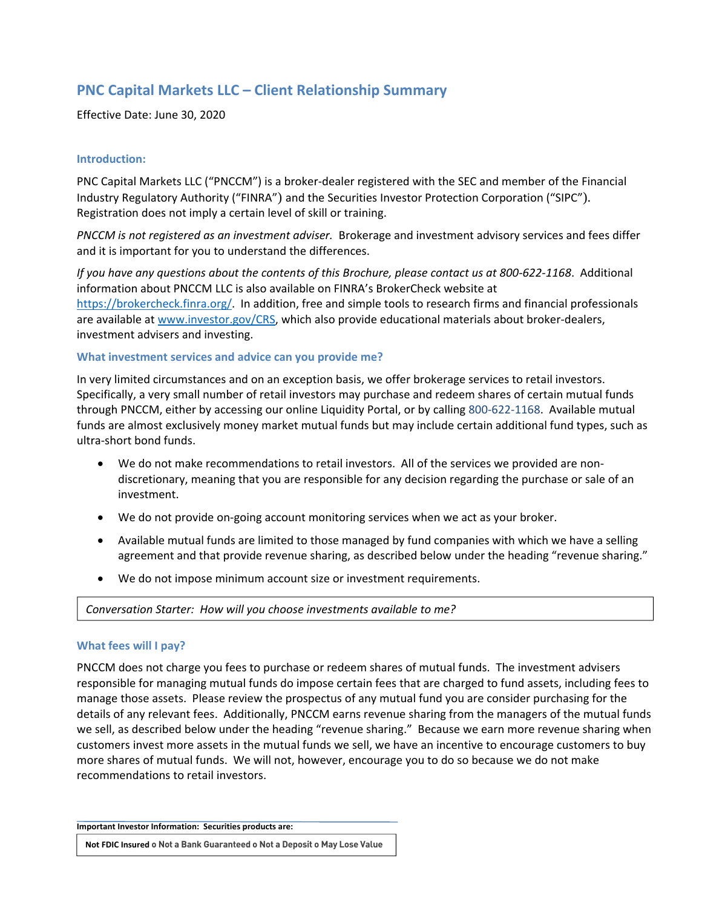# **PNC Capital Markets LLC – Client Relationship Summary**

Effective Date: June 30, 2020

## **Introduction:**

PNC Capital Markets LLC ("PNCCM") is a broker‐dealer registered with the SEC and member of the Financial Industry Regulatory Authority ("FINRA") and the Securities Investor Protection Corporation ("SIPC"). Registration does not imply a certain level of skill or training.

*PNCCM is not registered as an investment adviser.* Brokerage and investment advisory services and fees differ and it is important for you to understand the differences.

If you have any questions about the contents of this Brochure, please contact us at 800-622-1168. Additional information about PNCCM LLC is also available on FINRA's BrokerCheck website at https://brokercheck.finra.org/. In addition, free and simple tools to research firms and financial professionals are available at www.investor.gov/CRS, which also provide educational materials about broker-dealers, investment advisers and investing.

## **What investment services and advice can you provide me?**

In very limited circumstances and on an exception basis, we offer brokerage services to retail investors. Specifically, a very small number of retail investors may purchase and redeem shares of certain mutual funds through PNCCM, either by accessing our online Liquidity Portal, or by calling 800‐622‐1168. Available mutual funds are almost exclusively money market mutual funds but may include certain additional fund types, such as ultra‐short bond funds.

- We do not make recommendations to retail investors. All of the services we provided are nondiscretionary, meaning that you are responsible for any decision regarding the purchase or sale of an investment.
- We do not provide on-going account monitoring services when we act as your broker.
- Available mutual funds are limited to those managed by fund companies with which we have a selling agreement and that provide revenue sharing, as described below under the heading "revenue sharing."
- We do not impose minimum account size or investment requirements.

*Conversation Starter: How will you choose investments available to me?* 

# **What fees will I pay?**

PNCCM does not charge you fees to purchase or redeem shares of mutual funds. The investment advisers responsible for managing mutual funds do impose certain fees that are charged to fund assets, including fees to manage those assets. Please review the prospectus of any mutual fund you are consider purchasing for the details of any relevant fees. Additionally, PNCCM earns revenue sharing from the managers of the mutual funds we sell, as described below under the heading "revenue sharing." Because we earn more revenue sharing when customers invest more assets in the mutual funds we sell, we have an incentive to encourage customers to buy more shares of mutual funds. We will not, however, encourage you to do so because we do not make recommendations to retail investors.

**Important Investor Information: Securities products are:** 

**Not FDIC Insured o Not a Bank Guaranteed o Not a Deposit o May Lose Value**